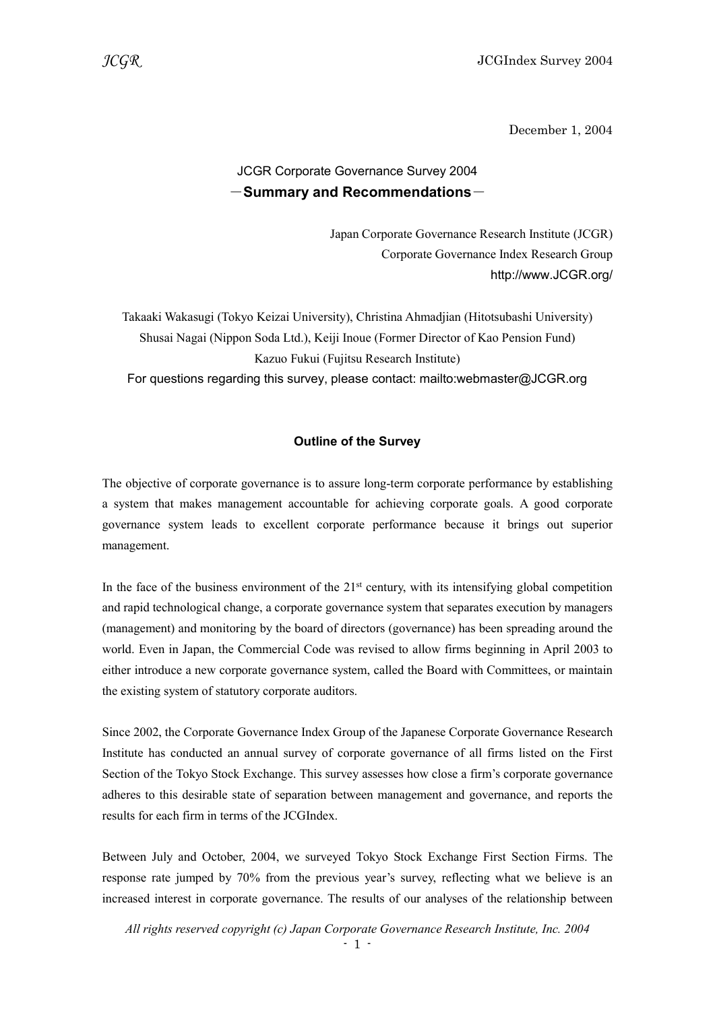December 1, 2004

# JCGR Corporate Governance Survey 2004  $-$ Summary and Recommendations $-$

Japan Corporate Governance Research Institute (JCGR) Corporate Governance Index Research Group http://www.JCGR.org/

Takaaki Wakasugi (Tokyo Keizai University), Christina Ahmadjian (Hitotsubashi University) Shusai Nagai (Nippon Soda Ltd.), Keiji Inoue (Former Director of Kao Pension Fund) Kazuo Fukui (Fujitsu Research Institute) For questions regarding this survey, please contact: mailto:webmaster@JCGR.org

### Outline of the Survey

The objective of corporate governance is to assure long-term corporate performance by establishing a system that makes management accountable for achieving corporate goals. A good corporate governance system leads to excellent corporate performance because it brings out superior management.

In the face of the business environment of the  $21<sup>st</sup>$  century, with its intensifying global competition and rapid technological change, a corporate governance system that separates execution by managers (management) and monitoring by the board of directors (governance) has been spreading around the world. Even in Japan, the Commercial Code was revised to allow firms beginning in April 2003 to either introduce a new corporate governance system, called the Board with Committees, or maintain the existing system of statutory corporate auditors.

Since 2002, the Corporate Governance Index Group of the Japanese Corporate Governance Research Institute has conducted an annual survey of corporate governance of all firms listed on the First Section of the Tokyo Stock Exchange. This survey assesses how close a firm's corporate governance adheres to this desirable state of separation between management and governance, and reports the results for each firm in terms of the JCGIndex.

Between July and October, 2004, we surveyed Tokyo Stock Exchange First Section Firms. The response rate jumped by 70% from the previous year's survey, reflecting what we believe is an increased interest in corporate governance. The results of our analyses of the relationship between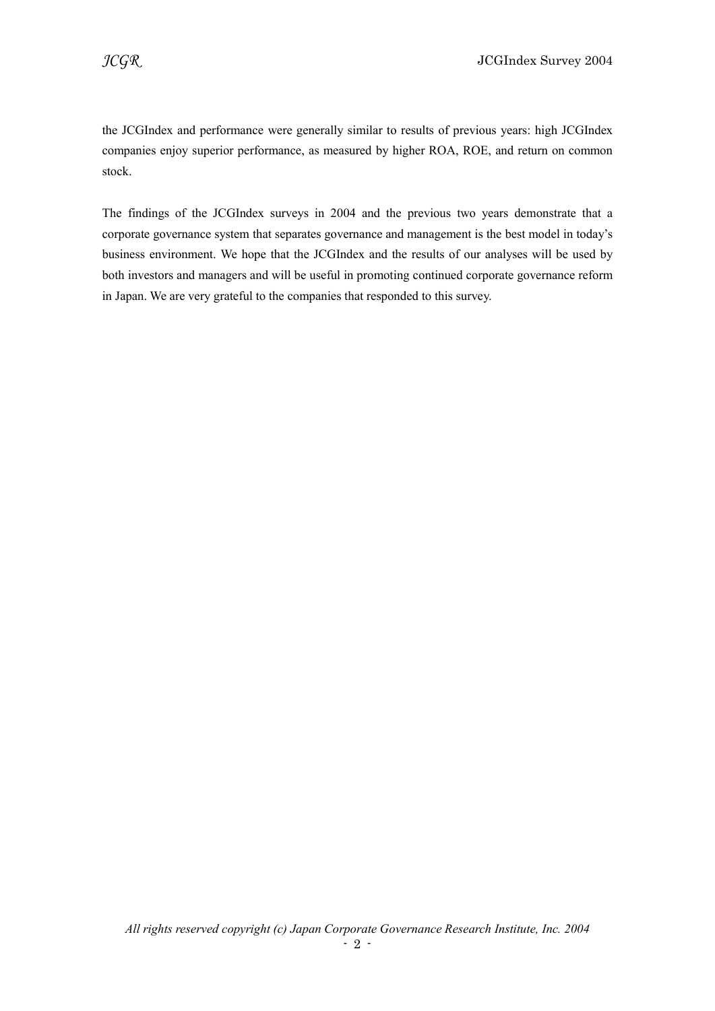the JCGIndex and performance were generally similar to results of previous years: high JCGIndex companies enjoy superior performance, as measured by higher ROA, ROE, and return on common stock.

The findings of the JCGIndex surveys in 2004 and the previous two years demonstrate that a corporate governance system that separates governance and management is the best model in today's business environment. We hope that the JCGIndex and the results of our analyses will be used by both investors and managers and will be useful in promoting continued corporate governance reform in Japan. We are very grateful to the companies that responded to this survey.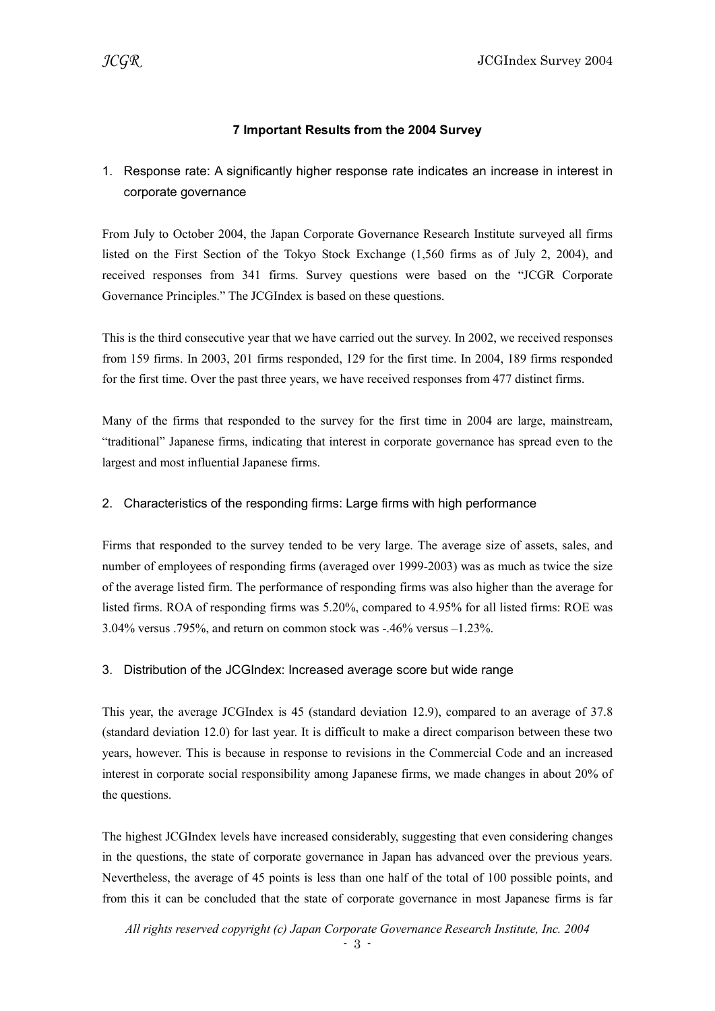# 7 Important Results from the 2004 Survey

1. Response rate: A significantly higher response rate indicates an increase in interest in corporate governance

From July to October 2004, the Japan Corporate Governance Research Institute surveyed all firms listed on the First Section of the Tokyo Stock Exchange (1,560 firms as of July 2, 2004), and received responses from 341 firms. Survey questions were based on the "JCGR Corporate Governance Principles." The JCGIndex is based on these questions.

This is the third consecutive year that we have carried out the survey. In 2002, we received responses from 159 firms. In 2003, 201 firms responded, 129 for the first time. In 2004, 189 firms responded for the first time. Over the past three years, we have received responses from 477 distinct firms.

Many of the firms that responded to the survey for the first time in 2004 are large, mainstream, "traditional" Japanese firms, indicating that interest in corporate governance has spread even to the largest and most influential Japanese firms.

### 2. Characteristics of the responding firms: Large firms with high performance

Firms that responded to the survey tended to be very large. The average size of assets, sales, and number of employees of responding firms (averaged over 1999-2003) was as much as twice the size of the average listed firm. The performance of responding firms was also higher than the average for listed firms. ROA of responding firms was 5.20%, compared to 4.95% for all listed firms: ROE was 3.04% versus .795%, and return on common stock was -.46% versus –1.23%.

### 3. Distribution of the JCGIndex: Increased average score but wide range

This year, the average JCGIndex is 45 (standard deviation 12.9), compared to an average of 37.8 (standard deviation 12.0) for last year. It is difficult to make a direct comparison between these two years, however. This is because in response to revisions in the Commercial Code and an increased interest in corporate social responsibility among Japanese firms, we made changes in about 20% of the questions.

The highest JCGIndex levels have increased considerably, suggesting that even considering changes in the questions, the state of corporate governance in Japan has advanced over the previous years. Nevertheless, the average of 45 points is less than one half of the total of 100 possible points, and from this it can be concluded that the state of corporate governance in most Japanese firms is far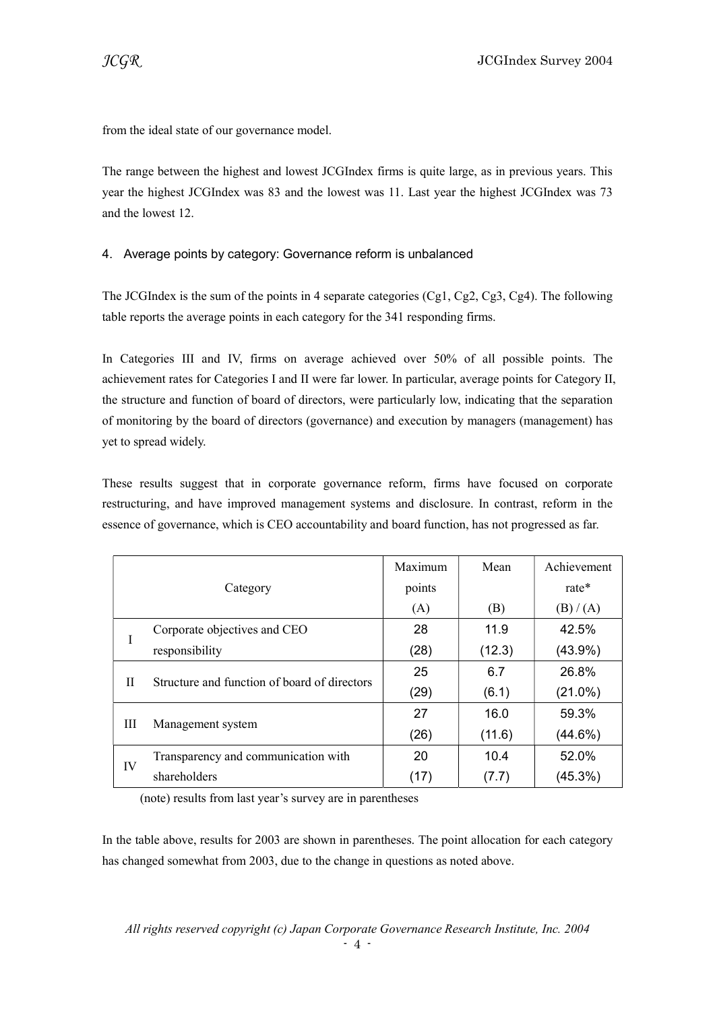from the ideal state of our governance model.

The range between the highest and lowest JCGIndex firms is quite large, as in previous years. This year the highest JCGIndex was 83 and the lowest was 11. Last year the highest JCGIndex was 73 and the lowest 12.

# 4. Average points by category: Governance reform is unbalanced

The JCGIndex is the sum of the points in 4 separate categories (Cg1, Cg2, Cg3, Cg4). The following table reports the average points in each category for the 341 responding firms.

In Categories III and IV, firms on average achieved over 50% of all possible points. The achievement rates for Categories I and II were far lower. In particular, average points for Category II, the structure and function of board of directors, were particularly low, indicating that the separation of monitoring by the board of directors (governance) and execution by managers (management) has yet to spread widely.

These results suggest that in corporate governance reform, firms have focused on corporate restructuring, and have improved management systems and disclosure. In contrast, reform in the essence of governance, which is CEO accountability and board function, has not progressed as far.

|          |                                              | Maximum | Mean   | Achievement |
|----------|----------------------------------------------|---------|--------|-------------|
| Category |                                              | points  |        | rate*       |
|          |                                              | (A)     | (B)    | (B) / (A)   |
| L        | Corporate objectives and CEO                 | 28      | 11.9   | 42.5%       |
|          | responsibility                               | (28)    | (12.3) | $(43.9\%)$  |
| H        | Structure and function of board of directors | 25      | 6.7    | 26.8%       |
|          |                                              | (29)    | (6.1)  | $(21.0\%)$  |
| Ш        | Management system                            | 27      | 16.0   | 59.3%       |
|          |                                              | (26)    | (11.6) | $(44.6\%)$  |
| IV       | Transparency and communication with          | 20      | 10.4   | 52.0%       |
|          | shareholders                                 | (17)    | (7.7)  | $(45.3\%)$  |

(note) results from last year's survey are in parentheses

In the table above, results for 2003 are shown in parentheses. The point allocation for each category has changed somewhat from 2003, due to the change in questions as noted above.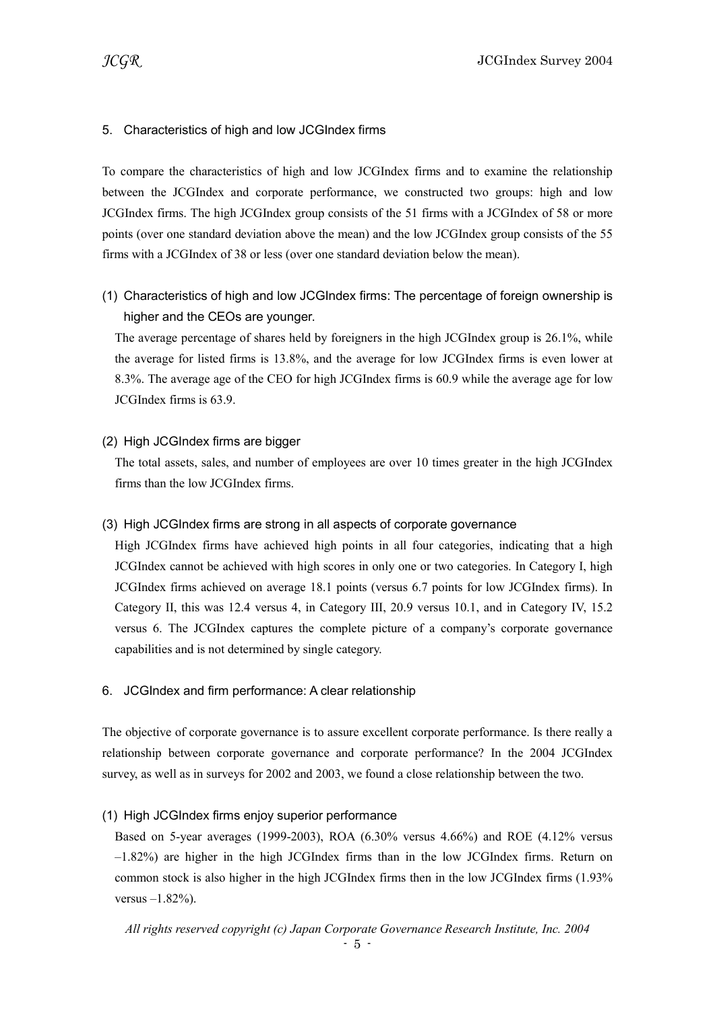# 5. Characteristics of high and low JCGIndex firms

To compare the characteristics of high and low JCGIndex firms and to examine the relationship between the JCGIndex and corporate performance, we constructed two groups: high and low JCGIndex firms. The high JCGIndex group consists of the 51 firms with a JCGIndex of 58 or more points (over one standard deviation above the mean) and the low JCGIndex group consists of the 55 firms with a JCGIndex of 38 or less (over one standard deviation below the mean).

(1) Characteristics of high and low JCGIndex firms: The percentage of foreign ownership is higher and the CEOs are younger.

The average percentage of shares held by foreigners in the high JCGIndex group is 26.1%, while the average for listed firms is 13.8%, and the average for low JCGIndex firms is even lower at 8.3%. The average age of the CEO for high JCGIndex firms is 60.9 while the average age for low JCGIndex firms is 63.9.

### (2) High JCGIndex firms are bigger

The total assets, sales, and number of employees are over 10 times greater in the high JCGIndex firms than the low JCGIndex firms.

### (3) High JCGIndex firms are strong in all aspects of corporate governance

High JCGIndex firms have achieved high points in all four categories, indicating that a high JCGIndex cannot be achieved with high scores in only one or two categories. In Category I, high JCGIndex firms achieved on average 18.1 points (versus 6.7 points for low JCGIndex firms). In Category II, this was 12.4 versus 4, in Category III, 20.9 versus 10.1, and in Category IV, 15.2 versus 6. The JCGIndex captures the complete picture of a company's corporate governance capabilities and is not determined by single category.

### 6. JCGIndex and firm performance: A clear relationship

The objective of corporate governance is to assure excellent corporate performance. Is there really a relationship between corporate governance and corporate performance? In the 2004 JCGIndex survey, as well as in surveys for 2002 and 2003, we found a close relationship between the two.

### (1) High JCGIndex firms enjoy superior performance

Based on 5-year averages (1999-2003), ROA (6.30% versus 4.66%) and ROE (4.12% versus –1.82%) are higher in the high JCGIndex firms than in the low JCGIndex firms. Return on common stock is also higher in the high JCGIndex firms then in the low JCGIndex firms (1.93% versus –1.82%).

All rights reserved copyright (c) Japan Corporate Governance Research Institute, Inc. 2004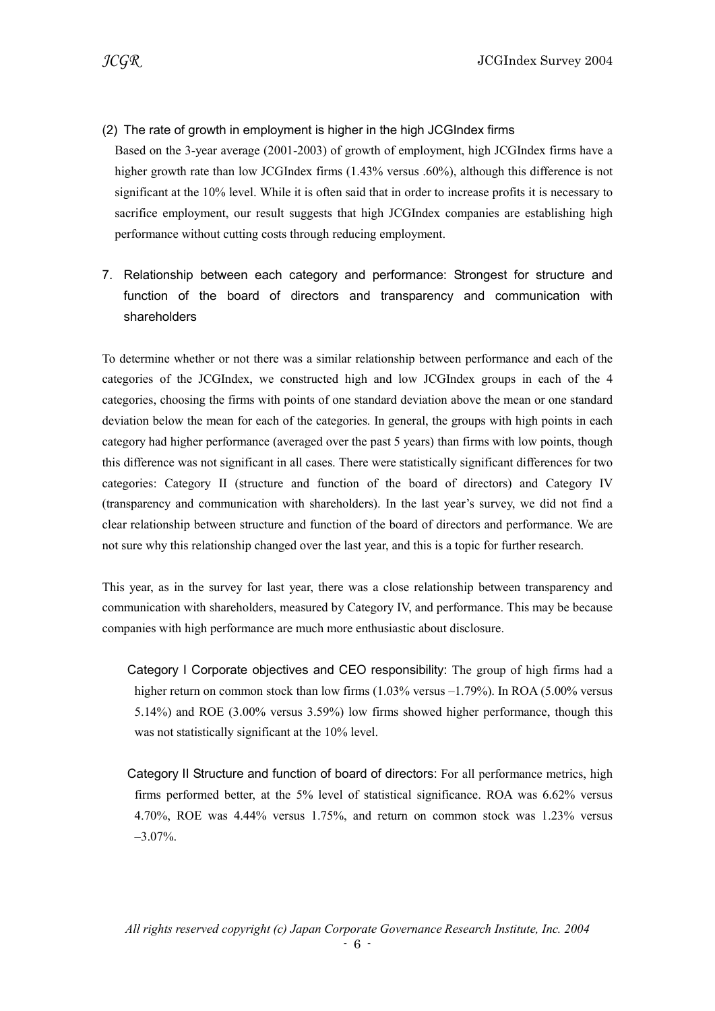# (2) The rate of growth in employment is higher in the high JCGIndex firms

Based on the 3-year average (2001-2003) of growth of employment, high JCGIndex firms have a higher growth rate than low JCGIndex firms (1.43% versus .60%), although this difference is not significant at the 10% level. While it is often said that in order to increase profits it is necessary to sacrifice employment, our result suggests that high JCGIndex companies are establishing high performance without cutting costs through reducing employment.

7. Relationship between each category and performance: Strongest for structure and function of the board of directors and transparency and communication with shareholders

To determine whether or not there was a similar relationship between performance and each of the categories of the JCGIndex, we constructed high and low JCGIndex groups in each of the 4 categories, choosing the firms with points of one standard deviation above the mean or one standard deviation below the mean for each of the categories. In general, the groups with high points in each category had higher performance (averaged over the past 5 years) than firms with low points, though this difference was not significant in all cases. There were statistically significant differences for two categories: Category II (structure and function of the board of directors) and Category IV (transparency and communication with shareholders). In the last year's survey, we did not find a clear relationship between structure and function of the board of directors and performance. We are not sure why this relationship changed over the last year, and this is a topic for further research.

This year, as in the survey for last year, there was a close relationship between transparency and communication with shareholders, measured by Category IV, and performance. This may be because companies with high performance are much more enthusiastic about disclosure.

- Category I Corporate objectives and CEO responsibility: The group of high firms had a higher return on common stock than low firms (1.03% versus –1.79%). In ROA (5.00% versus 5.14%) and ROE (3.00% versus 3.59%) low firms showed higher performance, though this was not statistically significant at the 10% level.
- Category II Structure and function of board of directors: For all performance metrics, high firms performed better, at the 5% level of statistical significance. ROA was 6.62% versus 4.70%, ROE was 4.44% versus 1.75%, and return on common stock was 1.23% versus –3.07%.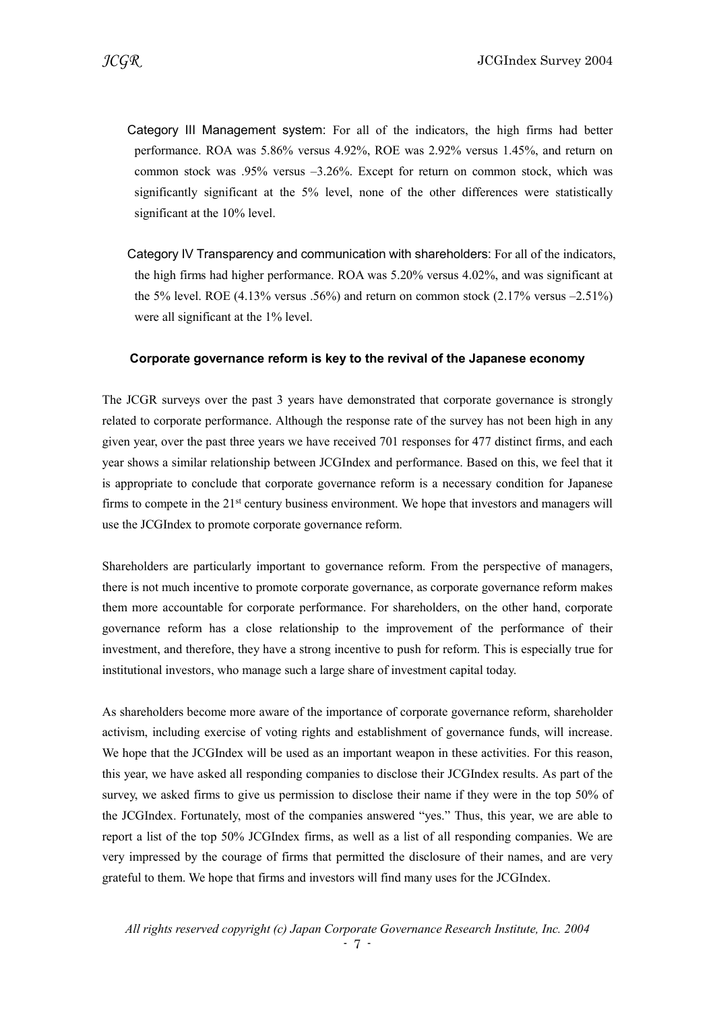- Category III Management system: For all of the indicators, the high firms had better performance. ROA was 5.86% versus 4.92%, ROE was 2.92% versus 1.45%, and return on common stock was .95% versus –3.26%. Except for return on common stock, which was significantly significant at the 5% level, none of the other differences were statistically significant at the 10% level.
- Category IV Transparency and communication with shareholders: For all of the indicators, the high firms had higher performance. ROA was 5.20% versus 4.02%, and was significant at the 5% level. ROE  $(4.13\%$  versus .56%) and return on common stock  $(2.17\%$  versus  $-2.51\%)$ were all significant at the 1% level.

#### Corporate governance reform is key to the revival of the Japanese economy

The JCGR surveys over the past 3 years have demonstrated that corporate governance is strongly related to corporate performance. Although the response rate of the survey has not been high in any given year, over the past three years we have received 701 responses for 477 distinct firms, and each year shows a similar relationship between JCGIndex and performance. Based on this, we feel that it is appropriate to conclude that corporate governance reform is a necessary condition for Japanese firms to compete in the  $21<sup>st</sup>$  century business environment. We hope that investors and managers will use the JCGIndex to promote corporate governance reform.

Shareholders are particularly important to governance reform. From the perspective of managers, there is not much incentive to promote corporate governance, as corporate governance reform makes them more accountable for corporate performance. For shareholders, on the other hand, corporate governance reform has a close relationship to the improvement of the performance of their investment, and therefore, they have a strong incentive to push for reform. This is especially true for institutional investors, who manage such a large share of investment capital today.

As shareholders become more aware of the importance of corporate governance reform, shareholder activism, including exercise of voting rights and establishment of governance funds, will increase. We hope that the JCGIndex will be used as an important weapon in these activities. For this reason, this year, we have asked all responding companies to disclose their JCGIndex results. As part of the survey, we asked firms to give us permission to disclose their name if they were in the top 50% of the JCGIndex. Fortunately, most of the companies answered "yes." Thus, this year, we are able to report a list of the top 50% JCGIndex firms, as well as a list of all responding companies. We are very impressed by the courage of firms that permitted the disclosure of their names, and are very grateful to them. We hope that firms and investors will find many uses for the JCGIndex.